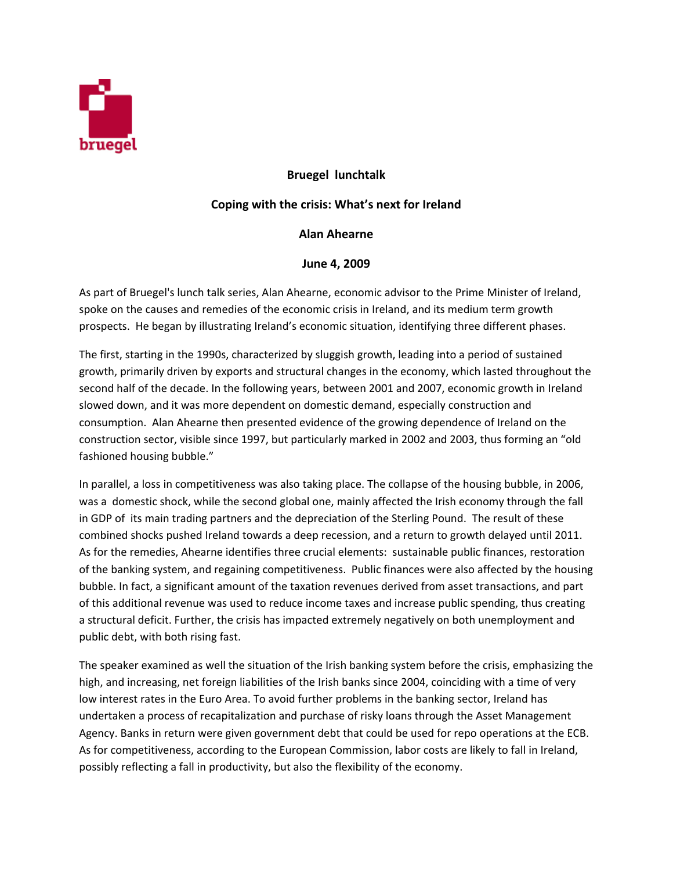

## **Bruegel lunchtalk**

## **Coping with the crisis: What's next for Ireland**

## **Alan Ahearne**

## **June 4, 2009**

As part of Bruegel's lunch talk series, Alan Ahearne, economic advisor to the Prime Minister of Ireland, spoke on the causes and remedies of the economic crisis in Ireland, and its medium term growth prospects. He began by illustrating Ireland's economic situation, identifying three different phases.

The first, starting in the 1990s, characterized by sluggish growth, leading into a period of sustained growth, primarily driven by exports and structural changes in the economy, which lasted throughout the second half of the decade. In the following years, between 2001 and 2007, economic growth in Ireland slowed down, and it was more dependent on domestic demand, especially construction and consumption. Alan Ahearne then presented evidence of the growing dependence of Ireland on the construction sector, visible since 1997, but particularly marked in 2002 and 2003, thus forming an "old fashioned housing bubble."

In parallel, a loss in competitiveness was also taking place. The collapse of the housing bubble, in 2006, was a domestic shock, while the second global one, mainly affected the Irish economy through the fall in GDP of its main trading partners and the depreciation of the Sterling Pound. The result of these combined shocks pushed Ireland towards a deep recession, and a return to growth delayed until 2011. As for the remedies, Ahearne identifies three crucial elements: sustainable public finances, restoration of the banking system, and regaining competitiveness. Public finances were also affected by the housing bubble. In fact, a significant amount of the taxation revenues derived from asset transactions, and part of this additional revenue was used to reduce income taxes and increase public spending, thus creating a structural deficit. Further, the crisis has impacted extremely negatively on both unemployment and public debt, with both rising fast.

The speaker examined as well the situation of the Irish banking system before the crisis, emphasizing the high, and increasing, net foreign liabilities of the Irish banks since 2004, coinciding with a time of very low interest rates in the Euro Area. To avoid further problems in the banking sector, Ireland has undertaken a process of recapitalization and purchase of risky loans through the Asset Management Agency. Banks in return were given government debt that could be used for repo operations at the ECB. As for competitiveness, according to the European Commission, labor costs are likely to fall in Ireland, possibly reflecting a fall in productivity, but also the flexibility of the economy.